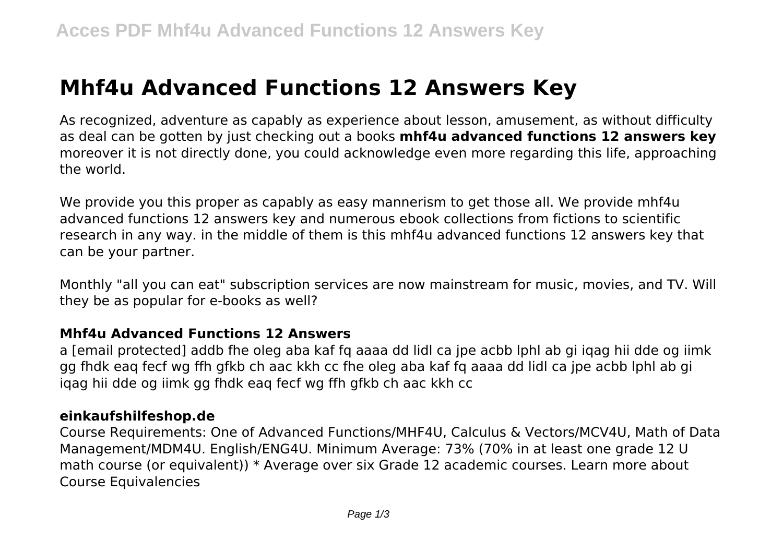# **Mhf4u Advanced Functions 12 Answers Key**

As recognized, adventure as capably as experience about lesson, amusement, as without difficulty as deal can be gotten by just checking out a books **mhf4u advanced functions 12 answers key** moreover it is not directly done, you could acknowledge even more regarding this life, approaching the world.

We provide you this proper as capably as easy mannerism to get those all. We provide mhf4u advanced functions 12 answers key and numerous ebook collections from fictions to scientific research in any way. in the middle of them is this mhf4u advanced functions 12 answers key that can be your partner.

Monthly "all you can eat" subscription services are now mainstream for music, movies, and TV. Will they be as popular for e-books as well?

#### **Mhf4u Advanced Functions 12 Answers**

a [email protected] addb fhe oleg aba kaf fq aaaa dd lidl ca jpe acbb lphl ab gi iqag hii dde og iimk gg fhdk eaq fecf wg ffh gfkb ch aac kkh cc fhe oleg aba kaf fq aaaa dd lidl ca jpe acbb lphl ab gi iqag hii dde og iimk gg fhdk eaq fecf wg ffh gfkb ch aac kkh cc

#### **einkaufshilfeshop.de**

Course Requirements: One of Advanced Functions/MHF4U, Calculus & Vectors/MCV4U, Math of Data Management/MDM4U. English/ENG4U. Minimum Average: 73% (70% in at least one grade 12 U math course (or equivalent)) \* Average over six Grade 12 academic courses. Learn more about Course Equivalencies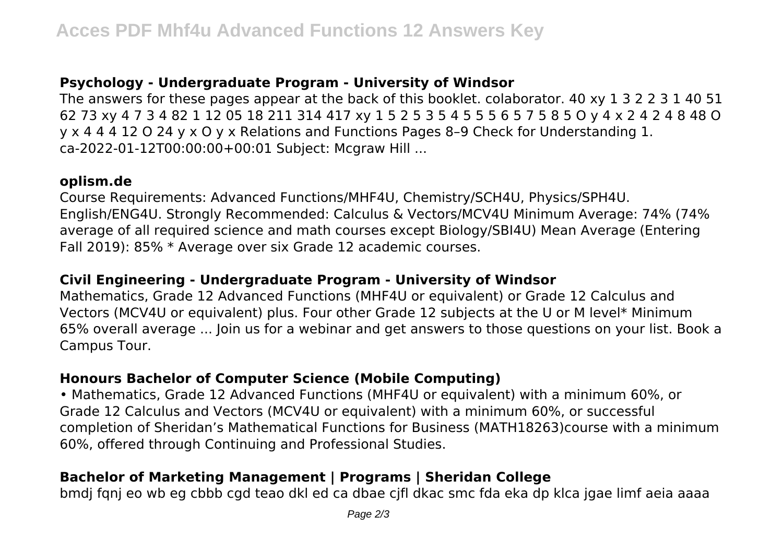# **Psychology - Undergraduate Program - University of Windsor**

The answers for these pages appear at the back of this booklet. colaborator. 40 xy 1 3 2 2 3 1 40 51 62 73 xy 4 7 3 4 82 1 12 05 18 211 314 417 xy 1 5 2 5 3 5 4 5 5 5 6 5 7 5 8 5 O y 4 x 2 4 2 4 8 48 O y x 4 4 4 12 O 24 y x O y x Relations and Functions Pages 8–9 Check for Understanding 1. ca-2022-01-12T00:00:00+00:01 Subject: Mcgraw Hill ...

#### **oplism.de**

Course Requirements: Advanced Functions/MHF4U, Chemistry/SCH4U, Physics/SPH4U. English/ENG4U. Strongly Recommended: Calculus & Vectors/MCV4U Minimum Average: 74% (74% average of all required science and math courses except Biology/SBI4U) Mean Average (Entering Fall 2019): 85% \* Average over six Grade 12 academic courses.

# **Civil Engineering - Undergraduate Program - University of Windsor**

Mathematics, Grade 12 Advanced Functions (MHF4U or equivalent) or Grade 12 Calculus and Vectors (MCV4U or equivalent) plus. Four other Grade 12 subjects at the U or M level\* Minimum 65% overall average ... Join us for a webinar and get answers to those questions on your list. Book a Campus Tour.

# **Honours Bachelor of Computer Science (Mobile Computing)**

• Mathematics, Grade 12 Advanced Functions (MHF4U or equivalent) with a minimum 60%, or Grade 12 Calculus and Vectors (MCV4U or equivalent) with a minimum 60%, or successful completion of Sheridan's Mathematical Functions for Business (MATH18263)course with a minimum 60%, offered through Continuing and Professional Studies.

# **Bachelor of Marketing Management | Programs | Sheridan College**

bmdj fqnj eo wb eg cbbb cgd teao dkl ed ca dbae cjfl dkac smc fda eka dp klca jgae limf aeia aaaa